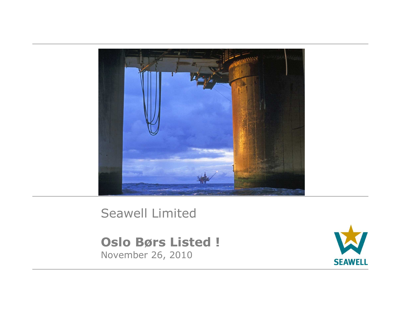

### Seawell Limited

**Oslo Børs Listed !** November 26, 2010

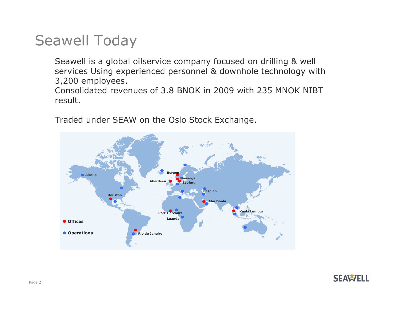## Seawell Today

Seawell is a global oilservice company focused on drilling & well services Using experienced personnel & downhole technology with 3,200 employees.

 Consolidated revenues of 3.8 BNOK in 2009 with 235 MNOK NIBTresult.



Traded under SEAW on the Oslo Stock Exchange.

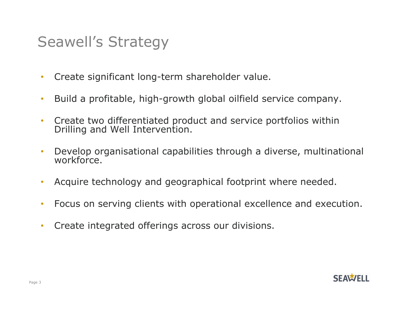## Seawell's Strategy

- •Create significant long-term shareholder value.
- •Build a profitable, high-growth global oilfield service company.
- •Create two differentiated product and service portfolios within Drilling and Well Intervention.
- •Develop organisational capabilities through a diverse, multinational workforce.
- $\bullet$ Acquire technology and geographical footprint where needed.
- •Focus on serving clients with operational excellence and execution.
- •Create integrated offerings across our divisions.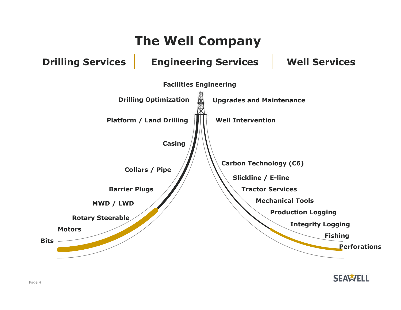

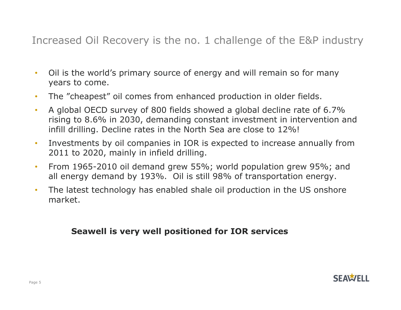Increased Oil Recovery is the no. 1 challenge of the E&P industry

- • Oil is the world's primary source of energy and will remain so for many years to come.
- •The "cheapest" oil comes from enhanced production in older fields.
- • A global OECD survey of 800 fields showed a global decline rate of 6.7% rising to 8.6% in 2030, demanding constant investment in intervention and infill drilling. Decline rates in the North Sea are close to 12%!
- • Investments by oil companies in IOR is expected to increase annually from 2011 to 2020, mainly in infield drilling.
- • From 1965-2010 oil demand grew 55%; world population grew 95%; and all energy demand by 193%. Oil is still 98% of transportation energy.
- • The latest technology has enabled shale oil production in the US onshore market.

### **Seawell is very well positioned for IOR services**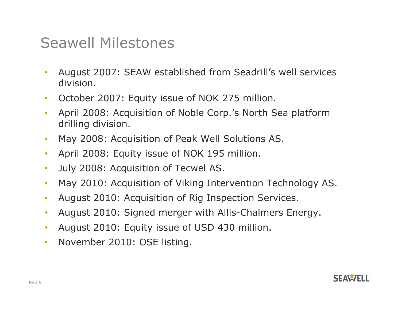### Seawell Milestones

- • August 2007: SEAW established from Seadrill's well services division.
- •October 2007: Equity issue of NOK 275 million.
- • April 2008: Acquisition of Noble Corp.'s North Sea platform drilling division.
- •May 2008: Acquisition of Peak Well Solutions AS.
- •April 2008: Equity issue of NOK 195 million.
- $\bullet$ July 2008: Acquisition of Tecwel AS.
- $\bullet$ May 2010: Acquisition of Viking Intervention Technology AS.
- $\bullet$ August 2010: Acquisition of Rig Inspection Services.
- •August 2010: Signed merger with Allis-Chalmers Energy.
- $\bullet$ August 2010: Equity issue of USD 430 million.
- $\bullet$ November 2010: OSE listing.

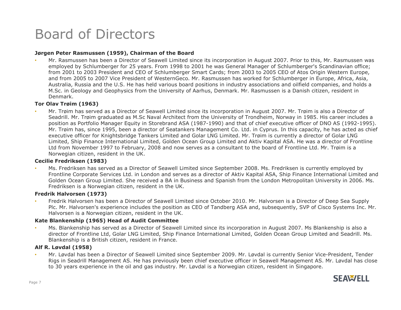### Board of Directors

### **Jørgen Peter Rasmussen (1959), Chairman of the Board**

• Mr. Rasmussen has been a Director of Seawell Limited since its incorporation in August 2007. Prior to this, Mr. Rasmussen was employed by Schlumberger for 25 years. From 1998 to 2001 he was General Manager of Schlumberger's Scandinavian office; from 2001 to 2003 President and CEO of Schlumberger Smart Cards; from 2003 to 2005 CEO of Atos Origin Western Europe,<br>and from 2005 to 2007 Vice President of WesternGeco. Mr. Rasmussen has worked for Schlumberger in Europe and from 2005 to 2007 Vice President of WesternGeco. Mr. Rasmussen has worked for Schlumberger in Europe, Africa, Asia, Australia, Russia and the U.S. He has held various board positions in industry associations and oilfield companies, and holds a M.Sc. in Geology and Geophysics from the University of Aarhus, Denmark. Mr. Rasmussen is a Danish citizen, resident in Denmark.

### **Tor Olav Trøim (1963)**

• Mr. Trøim has served as a Director of Seawell Limited since its incorporation in August 2007. Mr. Trøim is also a Director of Seadrill. Mr. Trøim graduated as M.Sc Naval Architect from the University of Trondheim, Norway in 1985. His career includes a position as Portfolio Manager Equity in Storebrand ASA (1987-1990) and that of chief executive officer of DNO AS (1992-1995). Mr. Trøim has, since 1995, been a director of Seatankers Management Co. Ltd. in Cyprus. In this capacity, he has acted as chief executive officer for Knightsbridge Tankers Limited and Golar LNG Limited. Mr. Trøim is currently a director of Golar LNG Limited, Ship Finance International Limited, Golden Ocean Group Limited and Aktiv Kapital ASA. He was a director of Frontline Ltd from November 1997 to February, 2008 and now serves as a consultant to the board of Frontline Ltd. Mr. Trøim is a Norwegian citizen, resident in the UK.

### **Cecilie Fredriksen (1983)**

• Ms. Fredriksen has served as a Director of Seawell Limited since September 2008. Ms. Fredriksen is currently employed by Frontline Corporate Services Ltd. in London and serves as a director of Aktiv Kapital ASA, Ship Finance International Limited and Golden Ocean Group Limited. She received a BA in Business and Spanish from the London Metropolitan University in 2006. Ms. Fredriksen is a Norwegian citizen, resident in the UK.

### **Fredrik Halvorsen (1973)**

• Fredrik Halvorsen has been a Director of Seawell Limited since October 2010. Mr. Halvorsen is a Director of Deep Sea Supply Plc. Mr. Halvorsen's experience includes the position as CEO of Tandberg ASA and, subsequently, SVP of Cisco Systems Inc. Mr. Halvorsen is a Norwegian citizen, resident in the UK.

### **Kate Blankenship (1965) Head of Audit Committee**

 Ms. Blankenship has served as a Director of Seawell Limited since its incorporation in August 2007. Ms Blankenship is also a •director of Frontline Ltd, Golar LNG Limited, Ship Finance International Limited, Golden Ocean Group Limited and Seadrill. Ms.<br>Blankenshin is a British citizen, resident in France Blankenship is a British citizen, resident in France.

### **Alf R. Løvdal (1958)**

• Mr. Løvdal has been a Director of Seawell Limited since September 2009. Mr. Løvdal is currently Senior Vice-President, Tender Rigs in Seadrill Management AS. He has previously been chief executive officer in Seawell Management AS. Mr. Løvdal has close to 30 years experience in the oil and gas industry. Mr. Løvdal is a Norwegian citizen, resident in Singapore.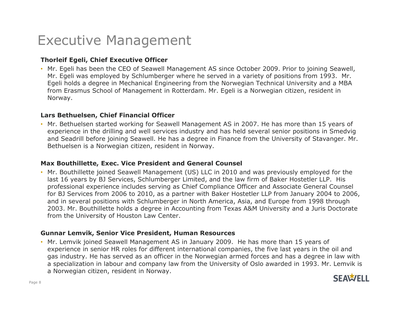### Executive Management

### **Thorleif Egeli, Chief Executive Officer**

• Mr. Egeli has been the CEO of Seawell Management AS since October 2009. Prior to joining Seawell, Mr. Egeli was employed by Schlumberger where he served in a variety of positions from 1993. Mr. Egeli holds a degree in Mechanical Engineering from the Norwegian Technical University and a MBA from Erasmus School of Management in Rotterdam. Mr. Egeli is a Norwegian citizen, resident in Norway.

### **Lars Bethuelsen, Chief Financial Officer**

• Mr. Bethuelsen started working for Seawell Management AS in 2007. He has more than 15 years of experience in the drilling and well services industry and has held several senior positions in Smedvig and Seadrill before joining Seawell. He has a degree in Finance from the University of Stavanger. Mr. Bethuelsen is a Norwegian citizen, resident in Norway.

### **Max Bouthillette, Exec. Vice President and General Counsel**

• Mr. Bouthillette joined Seawell Management (US) LLC in 2010 and was previously employed for the<br>last 16 years by BJ Services, Schlumberger Limited, and the law firm of Baker Hostetler LLP. His last 16 years by BJ Services, Schlumberger Limited, and the law firm of Baker Hostetler LLP. His professional experience includes serving as Chief Compliance Officer and Associate General Counsel for BJ Services from 2006 to 2010, as a partner with Baker Hostetler LLP from January 2004 to 2006, and in several positions with Schlumberger in North America, Asia, and Europe from 1998 through 2003. Mr. Bouthillette holds a degree in Accounting from Texas A&M University and a Juris Doctorate<br>from the University of Houston Law Center from the University of Houston Law Center.

### **Gunnar Lemvik, Senior Vice President, Human Resources**

• Mr. Lemvik joined Seawell Management AS in January 2009. He has more than 15 years of <br>experience in senior HR roles for different international companies, the five last vears in the experience in senior HR roles for different international companies, the five last years in the oil and gas industry. He has served as an officer in the Norwegian armed forces and has a degree in law with a specialization in labour and company law from the University of Oslo awarded in 1993. Mr. Lemvik is a Norwegian citizen, resident in Norway.

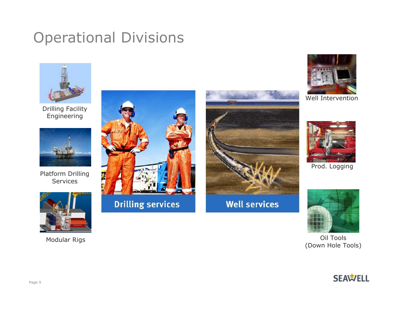## Operational Divisions



Drilling Facility Engineering



Platform Drilling Services



Modular Rigs





**Well services** 



Well Intervention



Prod. Logging



Oil Tools<br>(Down Hole Tools)

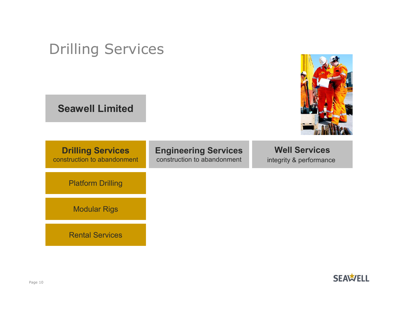| <b>Drilling Services</b><br><b>Seawell Limited</b>      |                                                            |                                                 |
|---------------------------------------------------------|------------------------------------------------------------|-------------------------------------------------|
| <b>Drilling Services</b><br>construction to abandonment | <b>Engineering Services</b><br>construction to abandonment | <b>Well Services</b><br>integrity & performance |
| <b>Platform Drilling</b>                                |                                                            |                                                 |
| <b>Modular Rigs</b>                                     |                                                            |                                                 |
| <b>Rental Services</b>                                  |                                                            |                                                 |

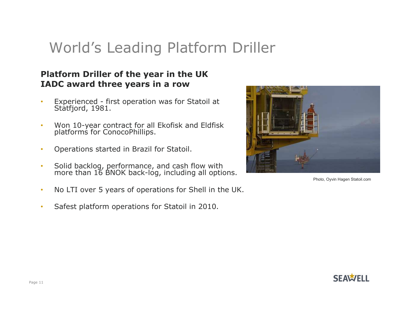## World's Leading Platform Driller

### **Platform Driller of the year in the UK IADC award three years in a row**

- •Experienced - first operation was for Statoil at Statfjord, 1981.
- •Won 10-year contract for all Ekofisk and Eldfisk platforms for ConocoPhillips.
- •Operations started in Brazil for Statoil.
- •• Solid backlog, performance, and cash flow with more than 16 BNOK back-log, including all options.
- •No LTI over 5 years of operations for Shell in the UK.
- •Safest platform operations for Statoil in 2010.



Photo, Oyvin Hagen Statoil.com

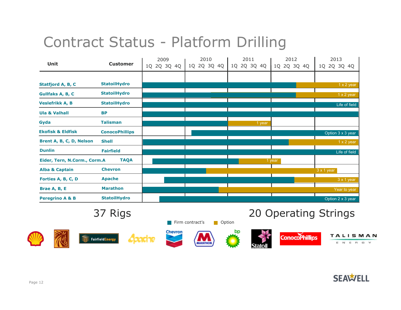## Contract Status - Platform Drilling

|                              |                       | 2009        | 2010        | 2011        | 2012        | 2013              |
|------------------------------|-----------------------|-------------|-------------|-------------|-------------|-------------------|
| Unit                         | <b>Customer</b>       | 1Q 2Q 3Q 4Q | 1Q 2Q 3Q 4Q | 1Q 2Q 3Q 4Q | 1Q 2Q 3Q 4Q | 1Q 2Q 3Q 4Q       |
|                              |                       |             |             |             |             |                   |
| Statfjord A, B, C            | <b>StatoilHydro</b>   |             |             |             |             | 1 x 2 year        |
| Gullfaks A, B, C             | <b>StatoilHydro</b>   |             |             |             |             | $1 \times 2$ year |
| <b>Veslefrikk A, B</b>       | <b>StatoilHydro</b>   |             |             |             |             | Life of field     |
| <b>Ula &amp; Valhall</b>     | <b>BP</b>             |             |             |             |             |                   |
| Gyda                         | <b>Talisman</b>       |             |             | 1 year      |             |                   |
| <b>Ekofisk &amp; Eldfisk</b> | <b>ConocoPhillips</b> |             |             |             |             | Option 3 x 3 year |
| Brent A, B, C, D, Nelson     | <b>Shell</b>          |             |             |             |             | 1 x 2 year        |
| <b>Dunlin</b>                | <b>Fairfield</b>      |             |             |             |             | Life of field     |
| Eider, Tern, N.Corm., Corm.A | <b>TAQA</b>           |             |             |             | 1 year      |                   |
| <b>Alba &amp; Captain</b>    | <b>Chevron</b>        |             |             |             |             | 3 x 1 year        |
| Forties A, B, C, D           | <b>Apache</b>         |             |             |             |             | $3 \times 1$ year |
| Brae A, B, E                 | <b>Marathon</b>       |             |             |             |             | Year to year      |
| <b>Peregrino A &amp; B</b>   | <b>StatoilHydro</b>   |             |             |             |             | Option 2 x 3 year |

Fairfield Energy

Acadhe

Firm contract's **Option** 

bp









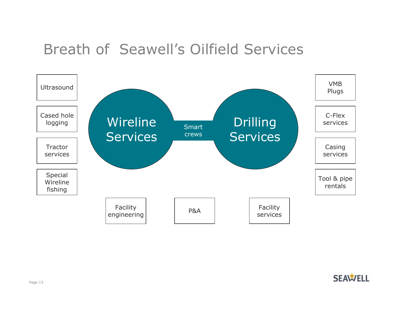### Breath of Seawell's Oilfield Services

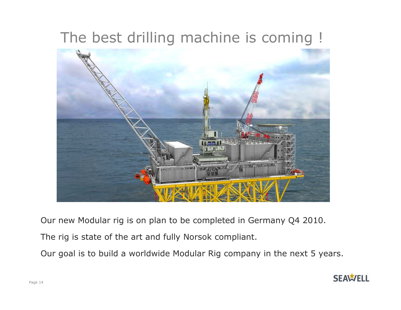## The best drilling machine is coming !



Our new Modular rig is on plan to be completed in Germany Q4 2010.

The rig is state of the art and fully Norsok compliant.

Our goal is to build a worldwide Modular Rig company in the next 5 years.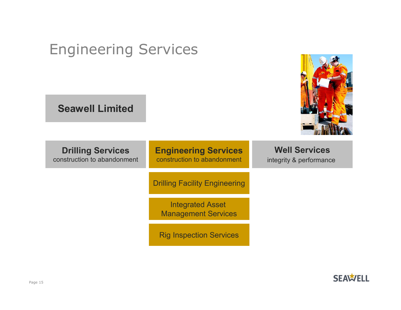| <b>Seawell Limited</b>                                  |                                                            |                                                 |
|---------------------------------------------------------|------------------------------------------------------------|-------------------------------------------------|
| <b>Drilling Services</b><br>construction to abandonment | <b>Engineering Services</b><br>construction to abandonment | <b>Well Services</b><br>integrity & performance |
|                                                         | <b>Drilling Facility Engineering</b>                       |                                                 |
|                                                         | <b>Integrated Asset</b><br><b>Management Services</b>      |                                                 |
|                                                         | <b>Rig Inspection Services</b>                             |                                                 |

## Engineering Services

**SEAWELL** 

**TELEVISION**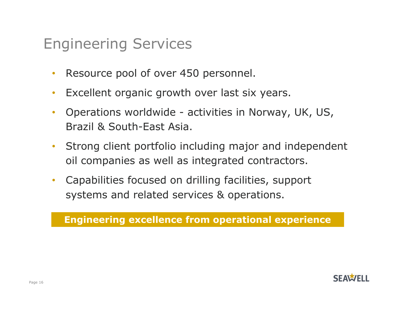## Engineering Services

- $\bullet$ Resource pool of over 450 personnel.
- $\bullet$ Excellent organic growth over last six years.
- $\bullet$  Operations worldwide - activities in Norway, UK, US, Brazil & South-East Asia.
- $\bullet$  Strong client portfolio including major and independent oil companies as well as integrated contractors.
- $\bullet$  Capabilities focused on drilling facilities, support systems and related services & operations.

**Engineering excellence from operational experience**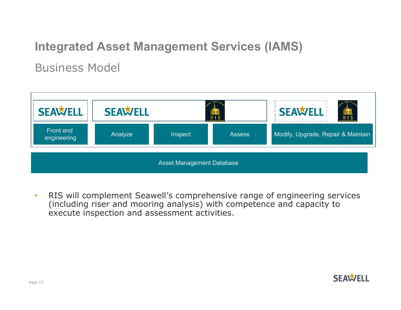### **Integrated Asset Management Services (IAMS)**

Business Model



• RIS will complement Seawell's comprehensive range of engineering services (including riser and mooring analysis) with competence and capacity to execute inspection and assessment activities.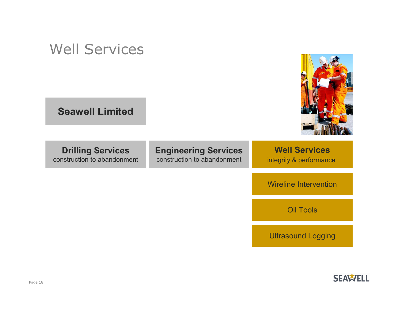| <b>Well Services</b><br><b>Seawell Limited</b>          |                                                            |                                                 |
|---------------------------------------------------------|------------------------------------------------------------|-------------------------------------------------|
| <b>Drilling Services</b><br>construction to abandonment | <b>Engineering Services</b><br>construction to abandonment | <b>Well Services</b><br>integrity & performance |
|                                                         |                                                            | <b>Wireline Intervention</b>                    |
|                                                         |                                                            | <b>Oil Tools</b>                                |
|                                                         |                                                            | <b>Ultrasound Logging</b>                       |

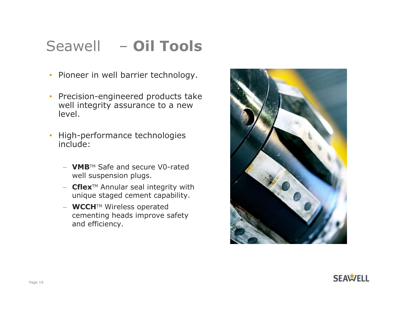## Seawell – **Oil Tools**

- Pioneer in well barrier technology.
- Precision-engineered products take well integrity assurance to a new level.
- High-performance technologies include:
	- **VMB**TM Safe and secure V0-rated well suspension plugs.
	- **Cflex**TM Annular seal integrity with unique staged cement capability.
	- **WCCH**TM Wireless operated cementing heads improve safety and efficiency.



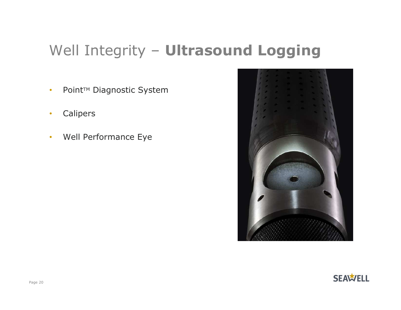# Well Integrity – **Ultrasound Logging**

- •Point™ Diagnostic System
- $\bullet$ Calipers
- •Well Performance Eye



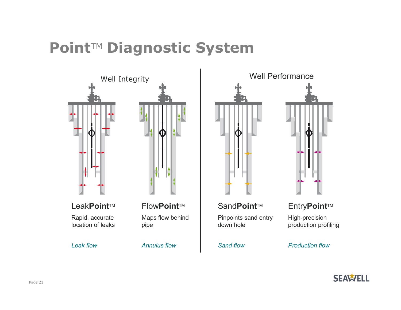## **Point**TM **Diagnostic System**



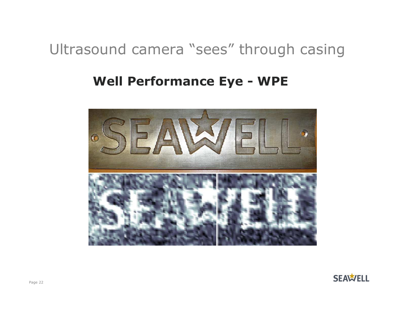## Ultrasound camera "sees" through casing

### **Well Performance Eye - WPE**



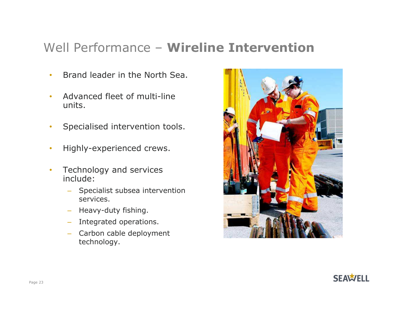# Well Performance – **Wireline Intervention**

- •Brand leader in the North Sea.
- • Advanced fleet of multi-line units.
- •Specialised intervention tools.
- •Highly-experienced crews.
- $\bullet$  Technology and services include:
	- Specialist subsea intervention services.
	- Heavy-duty fishing.
	- Integrated operations.
	- Carbon cable deployment technology.



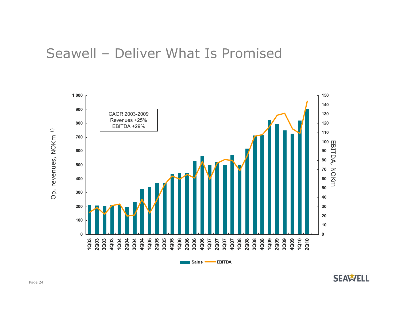### Seawell – Deliver What Is Promised



**Sales**

**EBITDA**

**SEAWELL**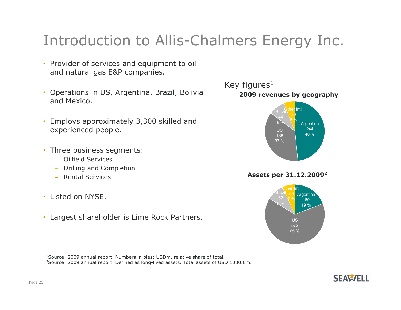## Introduction to Allis-Chalmers Energy Inc.

- Provider of services and equipment to oil and natural gas E&P companies.
- Operations in US, Argentina, Brazil, Bolivia and Mexico.
- Employs approximately 3,300 skilled and experienced people.
- Three business segments:
	- Oilfield Services
	- Drilling and Completion
	- Rental Services
- Listed on NYSE.
- Largest shareholder is Lime Rock Partners.

1Source: 2009 annual report. Numbers in pies: USDm, relative share of total. 2Source: 2009 annual report. Defined as long-lived assets. Total assets of USD 1080.6m.



**Assets per 31.12.20092**